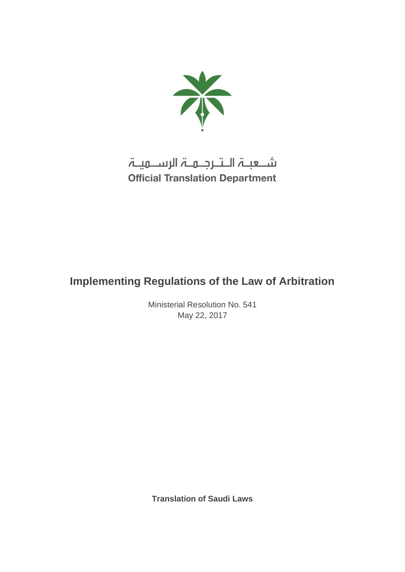

شـعبـۃ الـتـرجـمـۃ الرســمیـۃ **Official Translation Department** 

# **Implementing Regulations of the Law of Arbitration**

Ministerial Resolution No. 541 May 22, 2017

**Translation of Saudi Laws**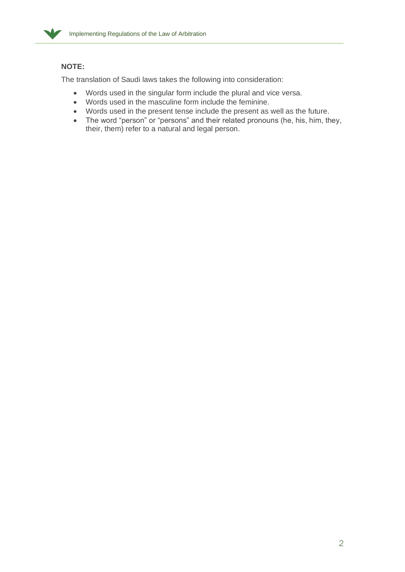

## **NOTE:**

The translation of Saudi laws takes the following into consideration:

- Words used in the singular form include the plural and vice versa.
- Words used in the masculine form include the feminine.
- Words used in the present tense include the present as well as the future.
- The word "person" or "persons" and their related pronouns (he, his, him, they, their, them) refer to a natural and legal person.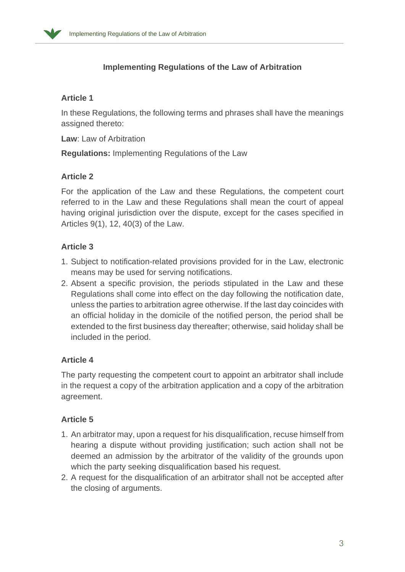

# **Implementing Regulations of the Law of Arbitration**

## **Article 1**

In these Regulations, the following terms and phrases shall have the meanings assigned thereto:

**Law**: Law of Arbitration

**Regulations:** Implementing Regulations of the Law

## **Article 2**

For the application of the Law and these Regulations, the competent court referred to in the Law and these Regulations shall mean the court of appeal having original jurisdiction over the dispute, except for the cases specified in Articles 9(1), 12, 40(3) of the Law.

## **Article 3**

- 1. Subject to notification-related provisions provided for in the Law, electronic means may be used for serving notifications.
- 2. Absent a specific provision, the periods stipulated in the Law and these Regulations shall come into effect on the day following the notification date, unless the parties to arbitration agree otherwise. If the last day coincides with an official holiday in the domicile of the notified person, the period shall be extended to the first business day thereafter; otherwise, said holiday shall be included in the period.

## **Article 4**

The party requesting the competent court to appoint an arbitrator shall include in the request a copy of the arbitration application and a copy of the arbitration agreement.

## **Article 5**

- 1. An arbitrator may, upon a request for his disqualification, recuse himself from hearing a dispute without providing justification; such action shall not be deemed an admission by the arbitrator of the validity of the grounds upon which the party seeking disqualification based his request.
- 2. A request for the disqualification of an arbitrator shall not be accepted after the closing of arguments.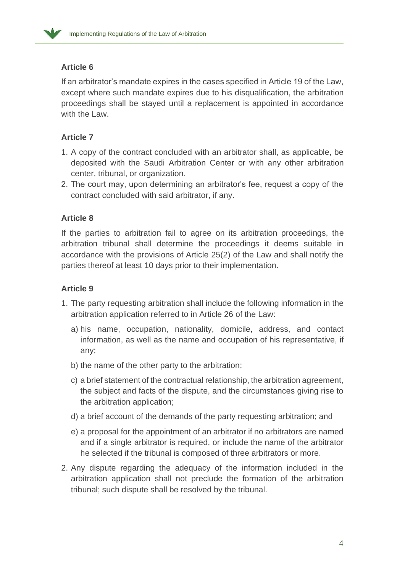

## **Article 6**

If an arbitrator's mandate expires in the cases specified in Article 19 of the Law, except where such mandate expires due to his disqualification, the arbitration proceedings shall be stayed until a replacement is appointed in accordance with the Law.

## **Article 7**

- 1. A copy of the contract concluded with an arbitrator shall, as applicable, be deposited with the Saudi Arbitration Center or with any other arbitration center, tribunal, or organization.
- 2. The court may, upon determining an arbitrator's fee, request a copy of the contract concluded with said arbitrator, if any.

## **Article 8**

If the parties to arbitration fail to agree on its arbitration proceedings, the arbitration tribunal shall determine the proceedings it deems suitable in accordance with the provisions of Article 25(2) of the Law and shall notify the parties thereof at least 10 days prior to their implementation.

#### **Article 9**

- 1. The party requesting arbitration shall include the following information in the arbitration application referred to in Article 26 of the Law:
	- a) his name, occupation, nationality, domicile, address, and contact information, as well as the name and occupation of his representative, if any;
	- b) the name of the other party to the arbitration;
	- c) a brief statement of the contractual relationship, the arbitration agreement, the subject and facts of the dispute, and the circumstances giving rise to the arbitration application;
	- d) a brief account of the demands of the party requesting arbitration; and
	- e) a proposal for the appointment of an arbitrator if no arbitrators are named and if a single arbitrator is required, or include the name of the arbitrator he selected if the tribunal is composed of three arbitrators or more.
- 2. Any dispute regarding the adequacy of the information included in the arbitration application shall not preclude the formation of the arbitration tribunal; such dispute shall be resolved by the tribunal.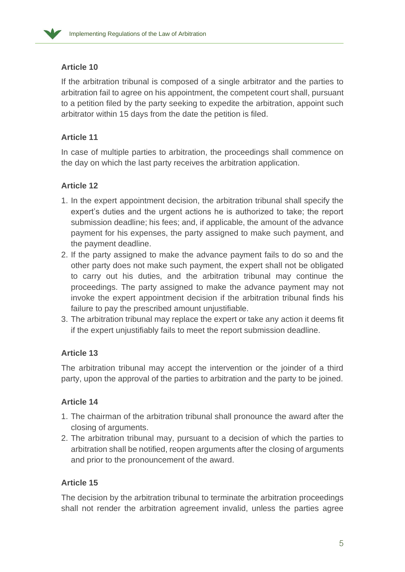

## **Article 10**

If the arbitration tribunal is composed of a single arbitrator and the parties to arbitration fail to agree on his appointment, the competent court shall, pursuant to a petition filed by the party seeking to expedite the arbitration, appoint such arbitrator within 15 days from the date the petition is filed.

# **Article 11**

In case of multiple parties to arbitration, the proceedings shall commence on the day on which the last party receives the arbitration application.

# **Article 12**

- 1. In the expert appointment decision, the arbitration tribunal shall specify the expert's duties and the urgent actions he is authorized to take; the report submission deadline; his fees; and, if applicable, the amount of the advance payment for his expenses, the party assigned to make such payment, and the payment deadline.
- 2. If the party assigned to make the advance payment fails to do so and the other party does not make such payment, the expert shall not be obligated to carry out his duties, and the arbitration tribunal may continue the proceedings. The party assigned to make the advance payment may not invoke the expert appointment decision if the arbitration tribunal finds his failure to pay the prescribed amount unjustifiable.
- 3. The arbitration tribunal may replace the expert or take any action it deems fit if the expert unjustifiably fails to meet the report submission deadline.

# **Article 13**

The arbitration tribunal may accept the intervention or the joinder of a third party, upon the approval of the parties to arbitration and the party to be joined.

# **Article 14**

- 1. The chairman of the arbitration tribunal shall pronounce the award after the closing of arguments.
- 2. The arbitration tribunal may, pursuant to a decision of which the parties to arbitration shall be notified, reopen arguments after the closing of arguments and prior to the pronouncement of the award.

## **Article 15**

The decision by the arbitration tribunal to terminate the arbitration proceedings shall not render the arbitration agreement invalid, unless the parties agree